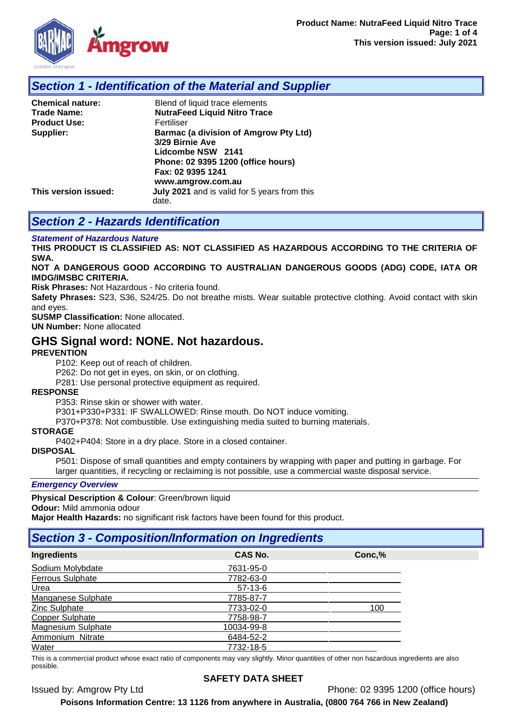

# *Section 1 - Identification of the Material and Supplier*

| <b>Chemical nature:</b> | Blend of liquid trace elements                                                       |  |  |
|-------------------------|--------------------------------------------------------------------------------------|--|--|
| <b>Trade Name:</b>      | <b>NutraFeed Liquid Nitro Trace</b>                                                  |  |  |
| <b>Product Use:</b>     | Fertiliser                                                                           |  |  |
| Supplier:               | <b>Barmac (a division of Amgrow Pty Ltd)</b><br>3/29 Birnie Ave<br>Lidcombe NSW 2141 |  |  |
|                         | Phone: 02 9395 1200 (office hours)<br>Fax: 02 9395 1241<br>www.amgrow.com.au         |  |  |
| This version issued:    | July 2021 and is valid for 5 years from this<br>date.                                |  |  |

# *Section 2 - Hazards Identification*

#### *Statement of Hazardous Nature*

**THIS PRODUCT IS CLASSIFIED AS: NOT CLASSIFIED AS HAZARDOUS ACCORDING TO THE CRITERIA OF SWA.** 

#### **NOT A DANGEROUS GOOD ACCORDING TO AUSTRALIAN DANGEROUS GOODS (ADG) CODE, IATA OR IMDG/IMSBC CRITERIA.**

**Risk Phrases:** Not Hazardous - No criteria found.

**Safety Phrases:** S23, S36, S24/25. Do not breathe mists. Wear suitable protective clothing. Avoid contact with skin and eyes.

**SUSMP Classification:** None allocated.

**UN Number:** None allocated

## **GHS Signal word: NONE. Not hazardous.**

#### **PREVENTION**

P102: Keep out of reach of children.

P262: Do not get in eyes, on skin, or on clothing.

P281: Use personal protective equipment as required.

#### **RESPONSE**

P353: Rinse skin or shower with water.

P301+P330+P331: IF SWALLOWED: Rinse mouth. Do NOT induce vomiting.

P370+P378: Not combustible. Use extinguishing media suited to burning materials.

#### **STORAGE**

P402+P404: Store in a dry place. Store in a closed container.

## **DISPOSAL**

P501: Dispose of small quantities and empty containers by wrapping with paper and putting in garbage. For larger quantities, if recycling or reclaiming is not possible, use a commercial waste disposal service.

#### *Emergency Overview*

**Physical Description & Colour**: Green/brown liquid

**Odour:** Mild ammonia odour

**Major Health Hazards:** no significant risk factors have been found for this product.

## *Section 3 - Composition/Information on Ingredients*

| Ingredients             | CAS No.    | Conc,% |
|-------------------------|------------|--------|
| Sodium Molybdate        | 7631-95-0  |        |
| <b>Ferrous Sulphate</b> | 7782-63-0  |        |
| Urea                    | $57-13-6$  |        |
| Manganese Sulphate      | 7785-87-7  |        |
| Zinc Sulphate           | 7733-02-0  | 100    |
| <b>Copper Sulphate</b>  | 7758-98-7  |        |
| Magnesium Sulphate      | 10034-99-8 |        |
| Ammonium Nitrate        | 6484-52-2  |        |
| Water                   | 7732-18-5  |        |

This is a commercial product whose exact ratio of components may vary slightly. Minor quantities of other non hazardous ingredients are also possible.

#### **SAFETY DATA SHEET**

Issued by: Amgrow Pty Ltd Phone: 02 9395 1200 (office hours)

**Poisons Information Centre: 13 1126 from anywhere in Australia, (0800 764 766 in New Zealand)**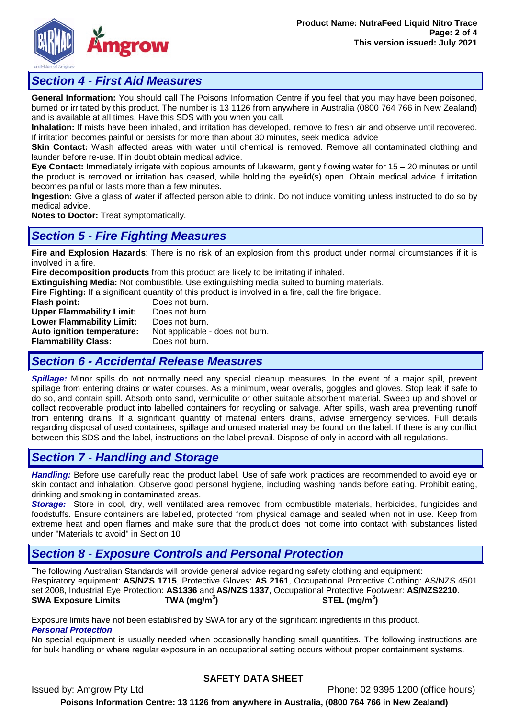

## *Section 4 - First Aid Measures*

**General Information:** You should call The Poisons Information Centre if you feel that you may have been poisoned, burned or irritated by this product. The number is 13 1126 from anywhere in Australia (0800 764 766 in New Zealand) and is available at all times. Have this SDS with you when you call.

**Inhalation:** If mists have been inhaled, and irritation has developed, remove to fresh air and observe until recovered. If irritation becomes painful or persists for more than about 30 minutes, seek medical advice

**Skin Contact:** Wash affected areas with water until chemical is removed. Remove all contaminated clothing and launder before re-use. If in doubt obtain medical advice.

**Eye Contact:** Immediately irrigate with copious amounts of lukewarm, gently flowing water for 15 – 20 minutes or until the product is removed or irritation has ceased, while holding the eyelid(s) open. Obtain medical advice if irritation becomes painful or lasts more than a few minutes.

**Ingestion:** Give a glass of water if affected person able to drink. Do not induce vomiting unless instructed to do so by medical advice.

**Notes to Doctor:** Treat symptomatically.

## *Section 5 - Fire Fighting Measures*

**Fire and Explosion Hazards**: There is no risk of an explosion from this product under normal circumstances if it is involved in a fire.

**Fire decomposition products** from this product are likely to be irritating if inhaled.

**Extinguishing Media:** Not combustible. Use extinguishing media suited to burning materials.

**Fire Fighting:** If a significant quantity of this product is involved in a fire, call the fire brigade.<br>**Flash point:** Does not burn.

**Does not burn.**<br>Does not burn. **Upper Flammability Limit:** Does not burn.<br> **Lower Flammability Limit:** Does not burn. **Lower Flammability Limit:**<br>Auto ignition temperature: Not applicable - does not burn. **Flammability Class:** Does not burn.

## *Section 6 - Accidental Release Measures*

*Spillage:* Minor spills do not normally need any special cleanup measures. In the event of a major spill, prevent spillage from entering drains or water courses. As a minimum, wear overalls, goggles and gloves. Stop leak if safe to do so, and contain spill. Absorb onto sand, vermiculite or other suitable absorbent material. Sweep up and shovel or collect recoverable product into labelled containers for recycling or salvage. After spills, wash area preventing runoff from entering drains. If a significant quantity of material enters drains, advise emergency services. Full details regarding disposal of used containers, spillage and unused material may be found on the label. If there is any conflict between this SDS and the label, instructions on the label prevail. Dispose of only in accord with all regulations.

## *Section 7 - Handling and Storage*

*Handling:* Before use carefully read the product label. Use of safe work practices are recommended to avoid eye or skin contact and inhalation. Observe good personal hygiene, including washing hands before eating. Prohibit eating, drinking and smoking in contaminated areas.

*Storage:*Store in cool, dry, well ventilated area removed from combustible materials, herbicides, fungicides and foodstuffs. Ensure containers are labelled, protected from physical damage and sealed when not in use. Keep from extreme heat and open flames and make sure that the product does not come into contact with substances listed under "Materials to avoid" in Section 10

# *Section 8 - Exposure Controls and Personal Protection*

The following Australian Standards will provide general advice regarding safety clothing and equipment: Respiratory equipment: **AS/NZS 1715**, Protective Gloves: **AS 2161**, Occupational Protective Clothing: AS/NZS 4501 set 2008, Industrial Eye Protection: **AS1336** and **AS/NZS 1337**, Occupational Protective Footwear: **AS/NZS2210**. **SWA Exposure Limits ) STEL (mg/m<sup>3</sup> )**

Exposure limits have not been established by SWA for any of the significant ingredients in this product. *Personal Protection*

No special equipment is usually needed when occasionally handling small quantities. The following instructions are for bulk handling or where regular exposure in an occupational setting occurs without proper containment systems.

## **SAFETY DATA SHEET**

Issued by: Amgrow Pty Ltd Phone: 02 9395 1200 (office hours) **Poisons Information Centre: 13 1126 from anywhere in Australia, (0800 764 766 in New Zealand)**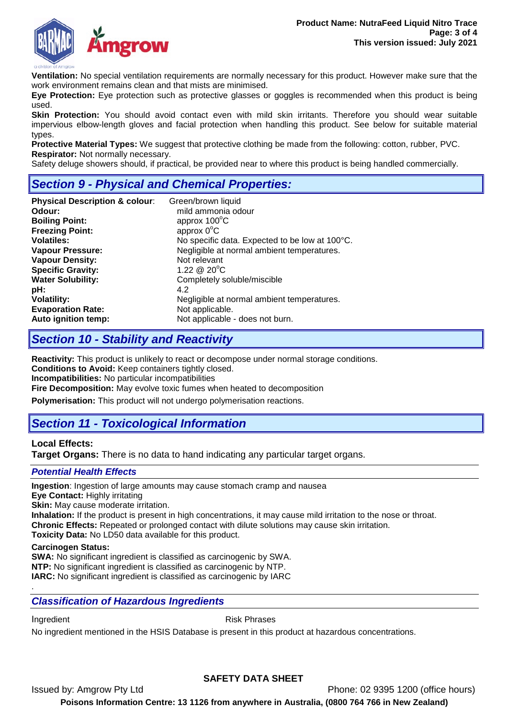

**Ventilation:** No special ventilation requirements are normally necessary for this product. However make sure that the work environment remains clean and that mists are minimised.

**Eye Protection:** Eye protection such as protective glasses or goggles is recommended when this product is being used.

**Skin Protection:** You should avoid contact even with mild skin irritants. Therefore you should wear suitable impervious elbow-length gloves and facial protection when handling this product. See below for suitable material types.

**Protective Material Types:** We suggest that protective clothing be made from the following: cotton, rubber, PVC. **Respirator:** Not normally necessary.

Safety deluge showers should, if practical, be provided near to where this product is being handled commercially.

# *Section 9 - Physical and Chemical Properties:*

| <b>Physical Description &amp; colour:</b> | Green/brown liquid                             |  |
|-------------------------------------------|------------------------------------------------|--|
| Odour:                                    | mild ammonia odour                             |  |
| <b>Boiling Point:</b>                     | approx $100^{\circ}$ C                         |  |
| <b>Freezing Point:</b>                    | approx $0^{\circ}$ C                           |  |
| <b>Volatiles:</b>                         | No specific data. Expected to be low at 100°C. |  |
| <b>Vapour Pressure:</b>                   | Negligible at normal ambient temperatures.     |  |
| <b>Vapour Density:</b>                    | Not relevant                                   |  |
| <b>Specific Gravity:</b>                  | 1.22 $@$ 20 $^{\circ}$ C                       |  |
| <b>Water Solubility:</b>                  | Completely soluble/miscible                    |  |
| pH:                                       | 4.2                                            |  |
| <b>Volatility:</b>                        | Negligible at normal ambient temperatures.     |  |
| <b>Evaporation Rate:</b>                  | Not applicable.                                |  |
| Auto ignition temp:                       | Not applicable - does not burn.                |  |

# *Section 10 - Stability and Reactivity*

**Reactivity:** This product is unlikely to react or decompose under normal storage conditions. **Conditions to Avoid:** Keep containers tightly closed.

**Incompatibilities:** No particular incompatibilities

**Fire Decomposition:** May evolve toxic fumes when heated to decomposition

**Polymerisation:** This product will not undergo polymerisation reactions.

# *Section 11 - Toxicological Information*

## **Local Effects:**

**Target Organs:** There is no data to hand indicating any particular target organs.

## *Potential Health Effects*

**Ingestion**: Ingestion of large amounts may cause stomach cramp and nausea

**Eye Contact:** Highly irritating

**Skin:** May cause moderate irritation.

**Inhalation:** If the product is present in high concentrations, it may cause mild irritation to the nose or throat. **Chronic Effects:** Repeated or prolonged contact with dilute solutions may cause skin irritation.

**Toxicity Data:** No LD50 data available for this product.

#### **Carcinogen Status:**

**SWA:** No significant ingredient is classified as carcinogenic by SWA. **NTP:** No significant ingredient is classified as carcinogenic by NTP. **IARC:** No significant ingredient is classified as carcinogenic by IARC

## *Classification of Hazardous Ingredients*

.

Ingredient **Ingredient** Risk Phrases

No ingredient mentioned in the HSIS Database is present in this product at hazardous concentrations.

## **SAFETY DATA SHEET**

Issued by: Amgrow Pty Ltd Phone: 02 9395 1200 (office hours)

**Poisons Information Centre: 13 1126 from anywhere in Australia, (0800 764 766 in New Zealand)**